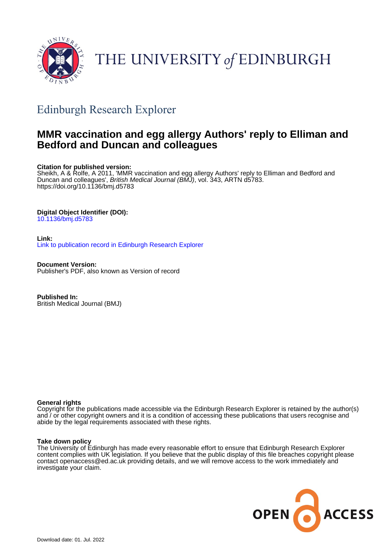

## THE UNIVERSITY of EDINBURGH

## Edinburgh Research Explorer

### **MMR vaccination and egg allergy Authors' reply to Elliman and Bedford and Duncan and colleagues**

#### **Citation for published version:**

Sheikh, A & Rolfe, A 2011, 'MMR vaccination and egg allergy Authors' reply to Elliman and Bedford and Duncan and colleagues', British Medical Journal (BMJ), vol. 343, ARTN d5783. <https://doi.org/10.1136/bmj.d5783>

#### **Digital Object Identifier (DOI):**

[10.1136/bmj.d5783](https://doi.org/10.1136/bmj.d5783)

#### **Link:** [Link to publication record in Edinburgh Research Explorer](https://www.research.ed.ac.uk/en/publications/a57cb977-62bb-4f9c-aec4-8e70787c7544)

**Document Version:** Publisher's PDF, also known as Version of record

**Published In:** British Medical Journal (BMJ)

#### **General rights**

Copyright for the publications made accessible via the Edinburgh Research Explorer is retained by the author(s) and / or other copyright owners and it is a condition of accessing these publications that users recognise and abide by the legal requirements associated with these rights.

#### **Take down policy**

The University of Edinburgh has made every reasonable effort to ensure that Edinburgh Research Explorer content complies with UK legislation. If you believe that the public display of this file breaches copyright please contact openaccess@ed.ac.uk providing details, and we will remove access to the work immediately and investigate your claim.